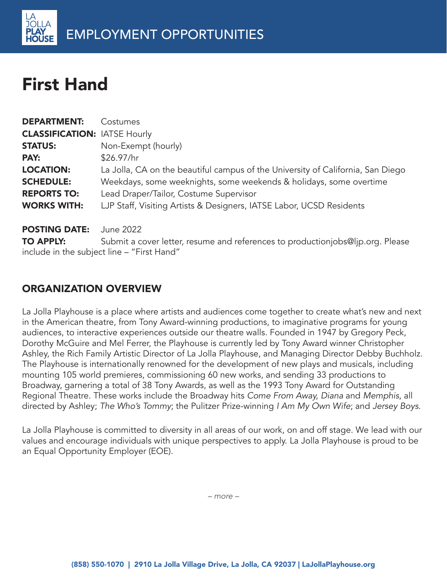# First Hand

| <b>DEPARTMENT:</b>                  | Costumes                                                                        |
|-------------------------------------|---------------------------------------------------------------------------------|
| <b>CLASSIFICATION: IATSE Hourly</b> |                                                                                 |
| <b>STATUS:</b>                      | Non-Exempt (hourly)                                                             |
| PAY:                                | \$26.97/hr                                                                      |
| <b>LOCATION:</b>                    | La Jolla, CA on the beautiful campus of the University of California, San Diego |
| <b>SCHEDULE:</b>                    | Weekdays, some weeknights, some weekends & holidays, some overtime              |
| <b>REPORTS TO:</b>                  | Lead Draper/Tailor, Costume Supervisor                                          |
| <b>WORKS WITH:</b>                  | LJP Staff, Visiting Artists & Designers, IATSE Labor, UCSD Residents            |
| <b>POSTING DATE:</b>                | June 2022                                                                       |
| <b>TO APPLY:</b>                    | Submit a cover letter, resume and references to productionjobs@ljp.org. Please  |

include in the subject line – "First Hand"

## ORGANIZATION OVERVIEW

La Jolla Playhouse is a place where artists and audiences come together to create what's new and next in the American theatre, from Tony Award-winning productions, to imaginative programs for young audiences, to interactive experiences outside our theatre walls. Founded in 1947 by Gregory Peck, Dorothy McGuire and Mel Ferrer, the Playhouse is currently led by Tony Award winner Christopher Ashley, the Rich Family Artistic Director of La Jolla Playhouse, and Managing Director Debby Buchholz. The Playhouse is internationally renowned for the development of new plays and musicals, including mounting 105 world premieres, commissioning 60 new works, and sending 33 productions to Broadway, garnering a total of 38 Tony Awards, as well as the 1993 Tony Award for Outstanding Regional Theatre. These works include the Broadway hits Come From Away, Diana and Memphis, all directed by Ashley; The Who's Tommy; the Pulitzer Prize-winning I Am My Own Wife; and Jersey Boys.

La Jolla Playhouse is committed to diversity in all areas of our work, on and off stage. We lead with our values and encourage individuals with unique perspectives to apply. La Jolla Playhouse is proud to be an Equal Opportunity Employer (EOE).

*– more –*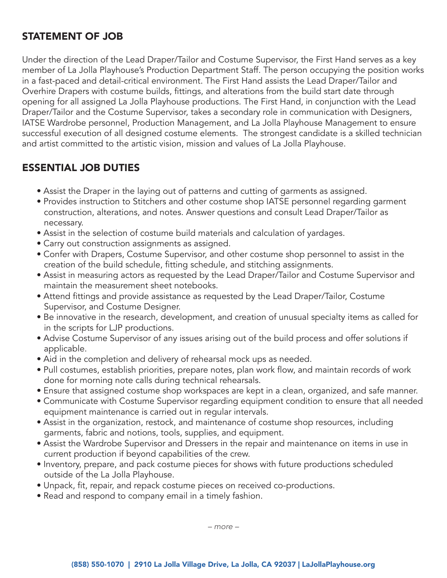#### STATEMENT OF JOB

Under the direction of the Lead Draper/Tailor and Costume Supervisor, the First Hand serves as a key member of La Jolla Playhouse's Production Department Staff. The person occupying the position works in a fast-paced and detail-critical environment. The First Hand assists the Lead Draper/Tailor and Overhire Drapers with costume builds, fittings, and alterations from the build start date through opening for all assigned La Jolla Playhouse productions. The First Hand, in conjunction with the Lead Draper/Tailor and the Costume Supervisor, takes a secondary role in communication with Designers, IATSE Wardrobe personnel, Production Management, and La Jolla Playhouse Management to ensure successful execution of all designed costume elements. The strongest candidate is a skilled technician and artist committed to the artistic vision, mission and values of La Jolla Playhouse.

#### ESSENTIAL JOB DUTIES

- Assist the Draper in the laying out of patterns and cutting of garments as assigned.
- Provides instruction to Stitchers and other costume shop IATSE personnel regarding garment construction, alterations, and notes. Answer questions and consult Lead Draper/Tailor as necessary.
- Assist in the selection of costume build materials and calculation of yardages.
- Carry out construction assignments as assigned.
- Confer with Drapers, Costume Supervisor, and other costume shop personnel to assist in the creation of the build schedule, fitting schedule, and stitching assignments.
- Assist in measuring actors as requested by the Lead Draper/Tailor and Costume Supervisor and maintain the measurement sheet notebooks.
- Attend fittings and provide assistance as requested by the Lead Draper/Tailor, Costume Supervisor, and Costume Designer.
- Be innovative in the research, development, and creation of unusual specialty items as called for in the scripts for LJP productions.
- Advise Costume Supervisor of any issues arising out of the build process and offer solutions if applicable.
- Aid in the completion and delivery of rehearsal mock ups as needed.
- Pull costumes, establish priorities, prepare notes, plan work flow, and maintain records of work done for morning note calls during technical rehearsals.
- Ensure that assigned costume shop workspaces are kept in a clean, organized, and safe manner.
- Communicate with Costume Supervisor regarding equipment condition to ensure that all needed equipment maintenance is carried out in regular intervals.
- Assist in the organization, restock, and maintenance of costume shop resources, including garments, fabric and notions, tools, supplies, and equipment.
- Assist the Wardrobe Supervisor and Dressers in the repair and maintenance on items in use in current production if beyond capabilities of the crew.
- Inventory, prepare, and pack costume pieces for shows with future productions scheduled outside of the La Jolla Playhouse.
- Unpack, fit, repair, and repack costume pieces on received co-productions.
- Read and respond to company email in a timely fashion.

*– more –*